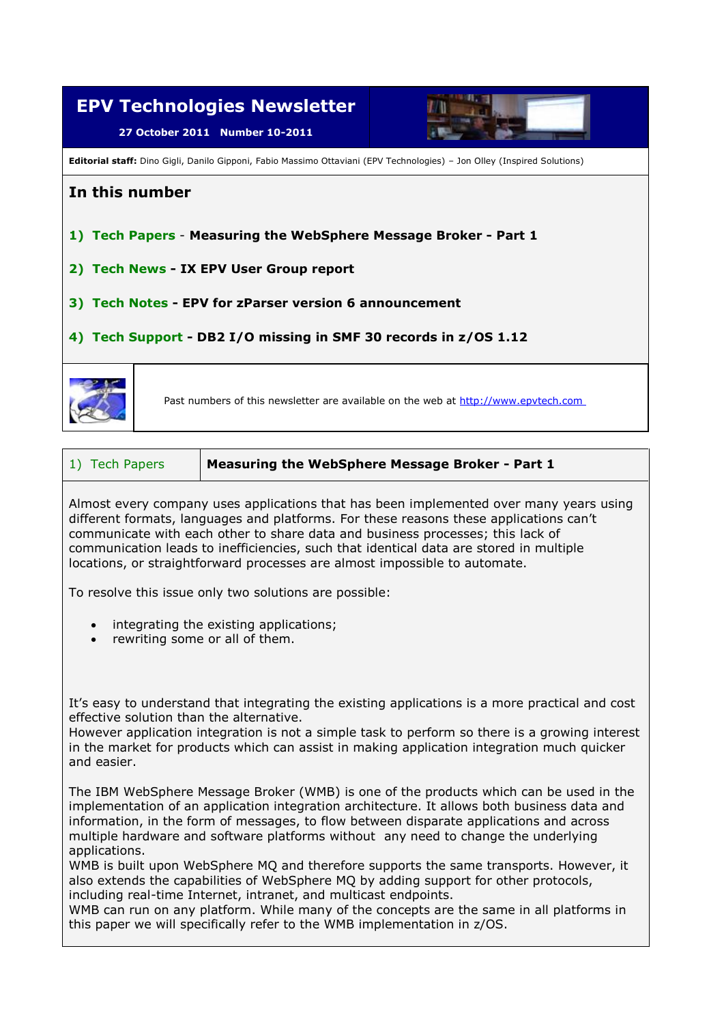

| 1) Tech Papers | Measuring the WebSphere Message Broker - Part 1 |
|----------------|-------------------------------------------------|
|----------------|-------------------------------------------------|

Almost every company uses applications that has been implemented over many years using different formats, languages and platforms. For these reasons these applications can't communicate with each other to share data and business processes; this lack of communication leads to inefficiencies, such that identical data are stored in multiple locations, or straightforward processes are almost impossible to automate.

To resolve this issue only two solutions are possible:

- integrating the existing applications;
- rewriting some or all of them.

It's easy to understand that integrating the existing applications is a more practical and cost effective solution than the alternative.

However application integration is not a simple task to perform so there is a growing interest in the market for products which can assist in making application integration much quicker and easier.

The IBM WebSphere Message Broker (WMB) is one of the products which can be used in the implementation of an application integration architecture. It allows both business data and information, in the form of messages, to flow between disparate applications and across multiple hardware and software platforms without any need to change the underlying applications.

WMB is built upon WebSphere MQ and therefore supports the same transports. However, it also extends the capabilities of WebSphere MQ by adding support for other protocols, including real-time Internet, intranet, and multicast endpoints.

WMB can run on any platform. While many of the concepts are the same in all platforms in this paper we will specifically refer to the WMB implementation in z/OS.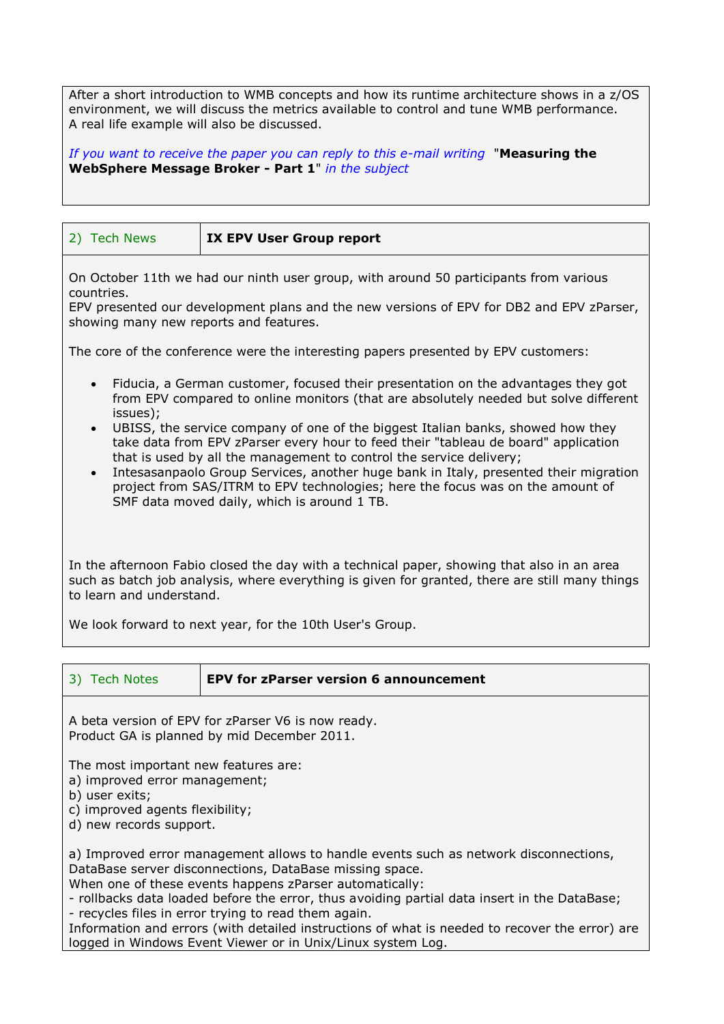After a short introduction to WMB concepts and how its runtime architecture shows in a z/OS environment, we will discuss the metrics available to control and tune WMB performance. A real life example will also be discussed.

*If you want to receive the paper you can reply to this e-mail writing* "**Measuring the WebSphere Message Broker - Part 1**" *in the subject* 

| 2) Tech News                                                                                                                                                                                                                                                                                                                                                                                                                                                                                                                                                                                                                                                                                          | <b>IX EPV User Group report</b> |  |  |
|-------------------------------------------------------------------------------------------------------------------------------------------------------------------------------------------------------------------------------------------------------------------------------------------------------------------------------------------------------------------------------------------------------------------------------------------------------------------------------------------------------------------------------------------------------------------------------------------------------------------------------------------------------------------------------------------------------|---------------------------------|--|--|
| On October 11th we had our ninth user group, with around 50 participants from various<br>countries.<br>EPV presented our development plans and the new versions of EPV for DB2 and EPV zParser,<br>showing many new reports and features.                                                                                                                                                                                                                                                                                                                                                                                                                                                             |                                 |  |  |
| The core of the conference were the interesting papers presented by EPV customers:                                                                                                                                                                                                                                                                                                                                                                                                                                                                                                                                                                                                                    |                                 |  |  |
| Fiducia, a German customer, focused their presentation on the advantages they got<br>$\bullet$<br>from EPV compared to online monitors (that are absolutely needed but solve different<br>issues);<br>UBISS, the service company of one of the biggest Italian banks, showed how they<br>$\bullet$<br>take data from EPV zParser every hour to feed their "tableau de board" application<br>that is used by all the management to control the service delivery;<br>Intesasanpaolo Group Services, another huge bank in Italy, presented their migration<br>$\bullet$<br>project from SAS/ITRM to EPV technologies; here the focus was on the amount of<br>SMF data moved daily, which is around 1 TB. |                                 |  |  |
| In the afternoon Fabio closed the day with a technical paper, showing that also in an area<br>such as batch job analysis, where everything is given for granted, there are still many things<br>to learn and understand.                                                                                                                                                                                                                                                                                                                                                                                                                                                                              |                                 |  |  |
| We look forward to next year, for the 10th User's Group.                                                                                                                                                                                                                                                                                                                                                                                                                                                                                                                                                                                                                                              |                                 |  |  |

| 3) Tech Notes<br><b>EPV for zParser version 6 announcement</b> |  |
|----------------------------------------------------------------|--|
|----------------------------------------------------------------|--|

A beta version of EPV for zParser V6 is now ready. Product GA is planned by mid December 2011.

The most important new features are:

a) improved error management;

b) user exits;

c) improved agents flexibility;

d) new records support.

a) Improved error management allows to handle events such as network disconnections, DataBase server disconnections, DataBase missing space.

When one of these events happens zParser automatically:

- rollbacks data loaded before the error, thus avoiding partial data insert in the DataBase; - recycles files in error trying to read them again.

Information and errors (with detailed instructions of what is needed to recover the error) are logged in Windows Event Viewer or in Unix/Linux system Log.